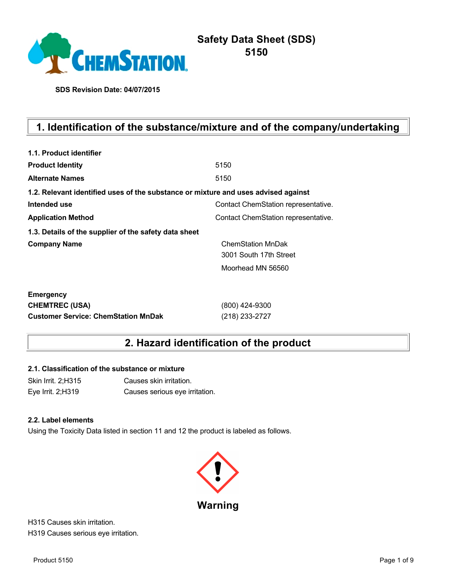

**SDS Revision Date: 04/07/2015**

# **1. Identification of the substance/mixture and of the company/undertaking**

| 1.1. Product identifier                                                            |                                     |
|------------------------------------------------------------------------------------|-------------------------------------|
| <b>Product Identity</b>                                                            | 5150                                |
| <b>Alternate Names</b>                                                             | 5150                                |
| 1.2. Relevant identified uses of the substance or mixture and uses advised against |                                     |
| Intended use                                                                       | Contact ChemStation representative. |
| <b>Application Method</b>                                                          | Contact ChemStation representative. |
| 1.3. Details of the supplier of the safety data sheet                              |                                     |
| <b>Company Name</b>                                                                | <b>ChemStation MnDak</b>            |
|                                                                                    | 3001 South 17th Street              |
|                                                                                    | Moorhead MN 56560                   |
| <b>Emergency</b>                                                                   |                                     |
| <b>CHEMTREC (USA)</b>                                                              | (800) 424-9300                      |
| <b>Customer Service: ChemStation MnDak</b>                                         | (218) 233-2727                      |

# **2. Hazard identification of the product**

#### **2.1. Classification of the substance or mixture**

Skin Irrit. 2;H315 Causes skin irritation. Eye Irrit. 2;H319 Causes serious eye irritation.

#### **2.2. Label elements**

Using the Toxicity Data listed in section 11 and 12 the product is labeled as follows.



H315 Causes skin irritation. H319 Causes serious eye irritation.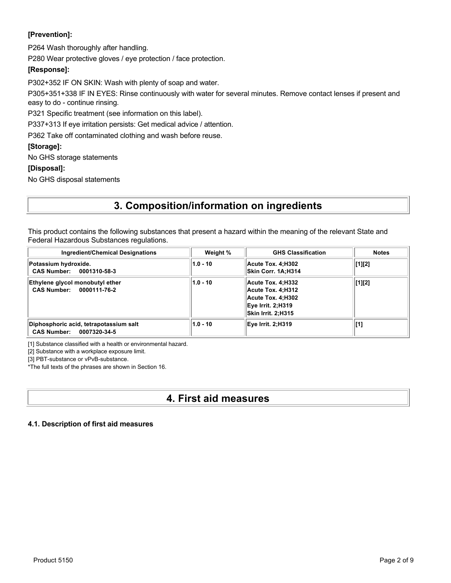# **[Prevention]:**

P264 Wash thoroughly after handling.

P280 Wear protective gloves / eye protection / face protection.

### **[Response]:**

P302+352 IF ON SKIN: Wash with plenty of soap and water.

P305+351+338 IF IN EYES: Rinse continuously with water for several minutes. Remove contact lenses if present and easy to do - continue rinsing.

P321 Specific treatment (see information on this label).

P337+313 If eye irritation persists: Get medical advice / attention.

P362 Take off contaminated clothing and wash before reuse.

### **[Storage]:**

No GHS storage statements

### **[Disposal]:**

No GHS disposal statements

# **3. Composition/information on ingredients**

This product contains the following substances that present a hazard within the meaning of the relevant State and Federal Hazardous Substances regulations.

| <b>Ingredient/Chemical Designations</b>                                      | Weight %   | <b>GHS Classification</b>                                                                               | <b>Notes</b>                          |
|------------------------------------------------------------------------------|------------|---------------------------------------------------------------------------------------------------------|---------------------------------------|
| Potassium hydroxide.<br>CAS Number: 0001310-58-3                             | $1.0 - 10$ | Acute Tox. 4:H302<br>Skin Corr. 1A:H314                                                                 | $\lfloor 1 \rfloor \lfloor 2 \rfloor$ |
| Ethylene glycol monobutyl ether<br>CAS Number: 0000111-76-2                  | $1.0 - 10$ | Acute Tox. 4; H332<br>Acute Tox. 4:H312<br>Acute Tox. 4:H302<br>Eve Irrit. 2:H319<br>Skin Irrit. 2:H315 | [1][2]                                |
| Diphosphoric acid, tetrapotassium salt<br><b>CAS Number:</b><br>0007320-34-5 | $1.0 - 10$ | Eve Irrit. 2:H319                                                                                       | [1]                                   |

[1] Substance classified with a health or environmental hazard.

[2] Substance with a workplace exposure limit.

[3] PBT-substance or vPvB-substance.

\*The full texts of the phrases are shown in Section 16.

# **4. First aid measures**

### **4.1. Description of first aid measures**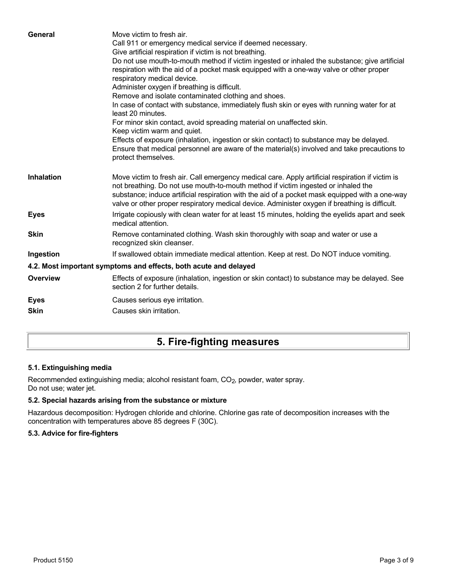| General           | Move victim to fresh air.<br>Call 911 or emergency medical service if deemed necessary.<br>Give artificial respiration if victim is not breathing.<br>Do not use mouth-to-mouth method if victim ingested or inhaled the substance; give artificial<br>respiration with the aid of a pocket mask equipped with a one-way valve or other proper<br>respiratory medical device.<br>Administer oxygen if breathing is difficult.<br>Remove and isolate contaminated clothing and shoes.<br>In case of contact with substance, immediately flush skin or eyes with running water for at<br>least 20 minutes.<br>For minor skin contact, avoid spreading material on unaffected skin.<br>Keep victim warm and quiet.<br>Effects of exposure (inhalation, ingestion or skin contact) to substance may be delayed.<br>Ensure that medical personnel are aware of the material(s) involved and take precautions to<br>protect themselves. |
|-------------------|-----------------------------------------------------------------------------------------------------------------------------------------------------------------------------------------------------------------------------------------------------------------------------------------------------------------------------------------------------------------------------------------------------------------------------------------------------------------------------------------------------------------------------------------------------------------------------------------------------------------------------------------------------------------------------------------------------------------------------------------------------------------------------------------------------------------------------------------------------------------------------------------------------------------------------------|
| <b>Inhalation</b> | Move victim to fresh air. Call emergency medical care. Apply artificial respiration if victim is<br>not breathing. Do not use mouth-to-mouth method if victim ingested or inhaled the<br>substance; induce artificial respiration with the aid of a pocket mask equipped with a one-way<br>valve or other proper respiratory medical device. Administer oxygen if breathing is difficult.                                                                                                                                                                                                                                                                                                                                                                                                                                                                                                                                         |
| <b>Eyes</b>       | Irrigate copiously with clean water for at least 15 minutes, holding the eyelids apart and seek<br>medical attention.                                                                                                                                                                                                                                                                                                                                                                                                                                                                                                                                                                                                                                                                                                                                                                                                             |
| <b>Skin</b>       | Remove contaminated clothing. Wash skin thoroughly with soap and water or use a<br>recognized skin cleanser.                                                                                                                                                                                                                                                                                                                                                                                                                                                                                                                                                                                                                                                                                                                                                                                                                      |
| Ingestion         | If swallowed obtain immediate medical attention. Keep at rest. Do NOT induce vomiting.                                                                                                                                                                                                                                                                                                                                                                                                                                                                                                                                                                                                                                                                                                                                                                                                                                            |
|                   | 4.2. Most important symptoms and effects, both acute and delayed                                                                                                                                                                                                                                                                                                                                                                                                                                                                                                                                                                                                                                                                                                                                                                                                                                                                  |
| <b>Overview</b>   | Effects of exposure (inhalation, ingestion or skin contact) to substance may be delayed. See<br>section 2 for further details.                                                                                                                                                                                                                                                                                                                                                                                                                                                                                                                                                                                                                                                                                                                                                                                                    |
| <b>Eyes</b>       | Causes serious eye irritation.                                                                                                                                                                                                                                                                                                                                                                                                                                                                                                                                                                                                                                                                                                                                                                                                                                                                                                    |
| <b>Skin</b>       | Causes skin irritation.                                                                                                                                                                                                                                                                                                                                                                                                                                                                                                                                                                                                                                                                                                                                                                                                                                                                                                           |
|                   |                                                                                                                                                                                                                                                                                                                                                                                                                                                                                                                                                                                                                                                                                                                                                                                                                                                                                                                                   |

# **5. Fire-fighting measures**

# **5.1. Extinguishing media**

Recommended extinguishing media; alcohol resistant foam, CO<sub>2</sub>, powder, water spray. Do not use; water jet.

### **5.2. Special hazards arising from the substance or mixture**

Hazardous decomposition: Hydrogen chloride and chlorine. Chlorine gas rate of decomposition increases with the concentration with temperatures above 85 degrees F (30C).

### **5.3. Advice for fire-fighters**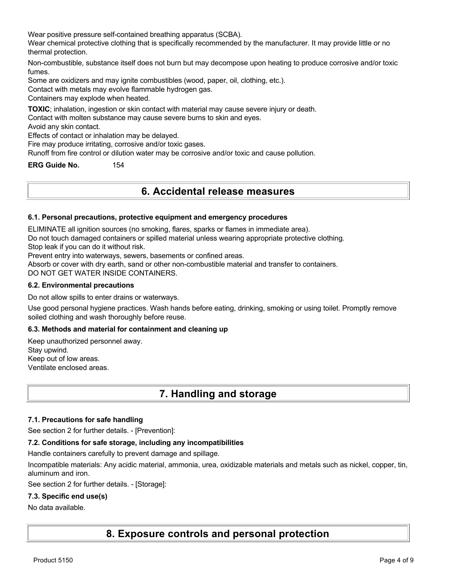Wear positive pressure self-contained breathing apparatus (SCBA).

Wear chemical protective clothing that is specifically recommended by the manufacturer. It may provide little or no thermal protection.

Non-combustible, substance itself does not burn but may decompose upon heating to produce corrosive and/or toxic fumes.

Some are oxidizers and may ignite combustibles (wood, paper, oil, clothing, etc.).

Contact with metals may evolve flammable hydrogen gas.

Containers may explode when heated.

**TOXIC**; inhalation, ingestion or skin contact with material may cause severe injury or death.

Contact with molten substance may cause severe burns to skin and eyes.

Avoid any skin contact.

Effects of contact or inhalation may be delayed.

Fire may produce irritating, corrosive and/or toxic gases.

Runoff from fire control or dilution water may be corrosive and/or toxic and cause pollution.

**ERG Guide No.** 154

# **6. Accidental release measures**

#### **6.1. Personal precautions, protective equipment and emergency procedures**

ELIMINATE all ignition sources (no smoking, flares, sparks or flames in immediate area).

Do not touch damaged containers or spilled material unless wearing appropriate protective clothing.

Stop leak if you can do it without risk.

Prevent entry into waterways, sewers, basements or confined areas.

Absorb or cover with dry earth, sand or other non-combustible material and transfer to containers.

DO NOT GET WATER INSIDE CONTAINERS.

#### **6.2. Environmental precautions**

Do not allow spills to enter drains or waterways.

Use good personal hygiene practices. Wash hands before eating, drinking, smoking or using toilet. Promptly remove soiled clothing and wash thoroughly before reuse.

#### **6.3. Methods and material for containment and cleaning up**

Keep unauthorized personnel away. Stay upwind. Keep out of low areas. Ventilate enclosed areas.

# **7. Handling and storage**

#### **7.1. Precautions for safe handling**

See section 2 for further details. - [Prevention]:

#### **7.2. Conditions for safe storage, including any incompatibilities**

Handle containers carefully to prevent damage and spillage.

Incompatible materials: Any acidic material, ammonia, urea, oxidizable materials and metals such as nickel, copper, tin, aluminum and iron.

See section 2 for further details. - [Storage]:

#### **7.3. Specific end use(s)**

#### No data available.

**8. Exposure controls and personal protection**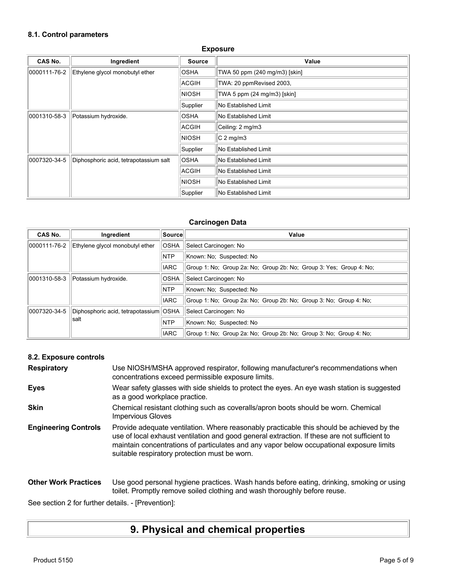# **8.1. Control parameters**

### **Exposure**

| CAS No.      | Ingredient                             | <b>Source</b> | Value                         |
|--------------|----------------------------------------|---------------|-------------------------------|
| 0000111-76-2 | Ethylene glycol monobutyl ether        | <b>OSHA</b>   | TWA 50 ppm (240 mg/m3) [skin] |
|              |                                        | <b>ACGIH</b>  | TWA: 20 ppmRevised 2003,      |
|              |                                        | <b>NIOSH</b>  | TWA 5 ppm (24 mg/m3) [skin]   |
|              |                                        | Supplier      | No Established Limit          |
| 0001310-58-3 | Potassium hydroxide.                   | <b>OSHA</b>   | No Established Limit          |
|              |                                        | ACGIH         | Ceiling: 2 mg/m3              |
|              |                                        | INIOSH        | $ C 2$ mg/m3                  |
|              |                                        | Supplier      | No Established Limit          |
| 0007320-34-5 | Diphosphoric acid, tetrapotassium salt | <b>OSHA</b>   | No Established Limit          |
|              |                                        | ACGIH         | No Established Limit          |
|              |                                        | <b>NIOSH</b>  | No Established Limit          |
|              |                                        | Supplier      | No Established Limit          |

#### **Carcinogen Data**

| <b>CAS No.</b> | Ingredient                             | Source      | Value                                                               |
|----------------|----------------------------------------|-------------|---------------------------------------------------------------------|
| 0000111-76-2   | Ethylene glycol monobutyl ether        | <b>OSHA</b> | Select Carcinogen: No                                               |
|                |                                        | <b>NTP</b>  | Known: No: Suspected: No                                            |
|                |                                        | <b>IARC</b> | Group 1: No: Group 2a: No: Group 2b: No: Group 3: Yes: Group 4: No: |
| 0001310-58-3   | Potassium hydroxide.                   | <b>OSHA</b> | Select Carcinogen: No                                               |
|                |                                        | <b>NTP</b>  | Known: No: Suspected: No                                            |
|                |                                        | <b>IARC</b> | Group 1: No: Group 2a: No: Group 2b: No: Group 3: No: Group 4: No:  |
| 0007320-34-5   | Diphosphoric acid, tetrapotassium OSHA |             | Select Carcinogen: No                                               |
|                | salt                                   | <b>NTP</b>  | Known: No: Suspected: No                                            |
|                |                                        | <b>IARC</b> | Group 1: No: Group 2a: No: Group 2b: No: Group 3: No: Group 4: No:  |

## **8.2. Exposure controls**

| <b>Respiratory</b>          | Use NIOSH/MSHA approved respirator, following manufacturer's recommendations when<br>concentrations exceed permissible exposure limits.                                                                                                                                                                                                |
|-----------------------------|----------------------------------------------------------------------------------------------------------------------------------------------------------------------------------------------------------------------------------------------------------------------------------------------------------------------------------------|
| <b>Eyes</b>                 | Wear safety glasses with side shields to protect the eyes. An eye wash station is suggested<br>as a good workplace practice.                                                                                                                                                                                                           |
| <b>Skin</b>                 | Chemical resistant clothing such as coveralls/apron boots should be worn. Chemical<br><b>Impervious Gloves</b>                                                                                                                                                                                                                         |
| <b>Engineering Controls</b> | Provide adequate ventilation. Where reasonably practicable this should be achieved by the<br>use of local exhaust ventilation and good general extraction. If these are not sufficient to<br>maintain concentrations of particulates and any vapor below occupational exposure limits<br>suitable respiratory protection must be worn. |
| <b>Other Work Practices</b> | Use good personal hygiene practices. Wash hands before eating, drinking, smoking or using<br>toilet. Promptly remove soiled clothing and wash thoroughly before reuse.                                                                                                                                                                 |

See section 2 for further details. - [Prevention]:

# **9. Physical and chemical properties**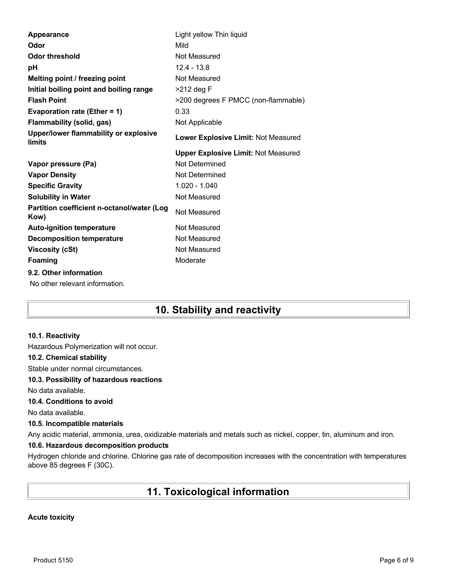| Appearance                                         | Light yellow Thin liquid                   |
|----------------------------------------------------|--------------------------------------------|
| Odor                                               | Mild                                       |
| <b>Odor threshold</b>                              | Not Measured                               |
| рH                                                 | $12.4 - 13.8$                              |
| Melting point / freezing point                     | Not Measured                               |
| Initial boiling point and boiling range            | >212 deg F                                 |
| <b>Flash Point</b>                                 | >200 degrees F PMCC (non-flammable)        |
| Evaporation rate (Ether = 1)                       | 0.33                                       |
| <b>Flammability (solid, gas)</b>                   | Not Applicable                             |
| Upper/lower flammability or explosive<br>limits    | Lower Explosive Limit: Not Measured        |
|                                                    | <b>Upper Explosive Limit: Not Measured</b> |
| Vapor pressure (Pa)                                | Not Determined                             |
| <b>Vapor Density</b>                               | Not Determined                             |
| <b>Specific Gravity</b>                            | $1.020 - 1.040$                            |
| <b>Solubility in Water</b>                         | Not Measured                               |
| Partition coefficient n-octanol/water (Log<br>Kow) | Not Measured                               |
| <b>Auto-ignition temperature</b>                   | Not Measured                               |
| <b>Decomposition temperature</b>                   |                                            |
|                                                    | Not Measured                               |
| <b>Viscosity (cSt)</b>                             | Not Measured                               |
| <b>Foaming</b>                                     | Moderate                                   |
| 9.2. Other information                             |                                            |

# **10. Stability and reactivity**

#### **10.1. Reactivity**

Hazardous Polymerization will not occur.

#### **10.2. Chemical stability**

Stable under normal circumstances.

#### **10.3. Possibility of hazardous reactions**

No data available.

## **10.4. Conditions to avoid**

No data available.

#### **10.5. Incompatible materials**

Any acidic material, ammonia, urea, oxidizable materials and metals such as nickel, copper, tin, aluminum and iron.

#### **10.6. Hazardous decomposition products**

Hydrogen chloride and chlorine. Chlorine gas rate of decomposition increases with the concentration with temperatures above 85 degrees F (30C).

# **11. Toxicological information**

#### **Acute toxicity**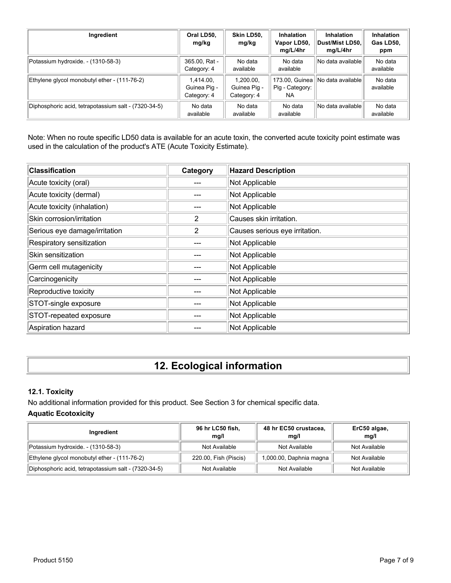| Ingredient                                           | Oral LD50,<br>mg/kg                      | Skin LD50,<br>mg/kg                      | <b>Inhalation</b><br>Vapor LD50,<br>mg/L/4hr | <b>Inhalation</b><br>∣Dust/Mist LD50.∣<br>mg/L/4hr | <b>Inhalation</b><br>Gas LD50,<br>ppm |
|------------------------------------------------------|------------------------------------------|------------------------------------------|----------------------------------------------|----------------------------------------------------|---------------------------------------|
| Potassium hydroxide. - (1310-58-3)                   | 365.00, Rat -<br>Category: 4             | No data<br>available                     | No data<br>available                         | No data available                                  | No data<br>available                  |
| Ethylene glycol monobutyl ether - (111-76-2)         | 1.414.00.<br>Guinea Pig -<br>Category: 4 | 1.200.00.<br>Guinea Pig -<br>Category: 4 | 173.00, Guinea<br>Pig - Category:<br>NA.     | No data available                                  | No data<br>available                  |
| Diphosphoric acid, tetrapotassium salt - (7320-34-5) | No data<br>available                     | No data<br>available                     | No data<br>available                         | No data available                                  | No data<br>available                  |

Note: When no route specific LD50 data is available for an acute toxin, the converted acute toxicity point estimate was used in the calculation of the product's ATE (Acute Toxicity Estimate).

| <b>Classification</b>         | Category | <b>Hazard Description</b>      |
|-------------------------------|----------|--------------------------------|
| Acute toxicity (oral)         |          | Not Applicable                 |
| Acute toxicity (dermal)       |          | Not Applicable                 |
| Acute toxicity (inhalation)   |          | Not Applicable                 |
| Skin corrosion/irritation     | 2        | Causes skin irritation.        |
| Serious eye damage/irritation | 2        | Causes serious eye irritation. |
| Respiratory sensitization     |          | Not Applicable                 |
| Skin sensitization            |          | Not Applicable                 |
| Germ cell mutagenicity        |          | Not Applicable                 |
| Carcinogenicity               |          | Not Applicable                 |
| Reproductive toxicity         |          | Not Applicable                 |
| STOT-single exposure          |          | Not Applicable                 |
| STOT-repeated exposure        |          | Not Applicable                 |
| Aspiration hazard             |          | Not Applicable                 |

# **12. Ecological information**

# **12.1. Toxicity**

No additional information provided for this product. See Section 3 for chemical specific data.

# **Aquatic Ecotoxicity**

| Ingredient                                           | 96 hr LC50 fish,<br>mq/l | 48 hr EC50 crustacea,<br>mq/l | ErC50 algae,<br>mq/l |
|------------------------------------------------------|--------------------------|-------------------------------|----------------------|
| Potassium hydroxide. - (1310-58-3)                   | Not Available            | Not Available                 | Not Available        |
| Ethylene glycol monobutyl ether - (111-76-2)         | 220.00, Fish (Piscis)    | 1,000.00, Daphnia magna       | Not Available        |
| Diphosphoric acid, tetrapotassium salt - (7320-34-5) | Not Available            | Not Available                 | Not Available        |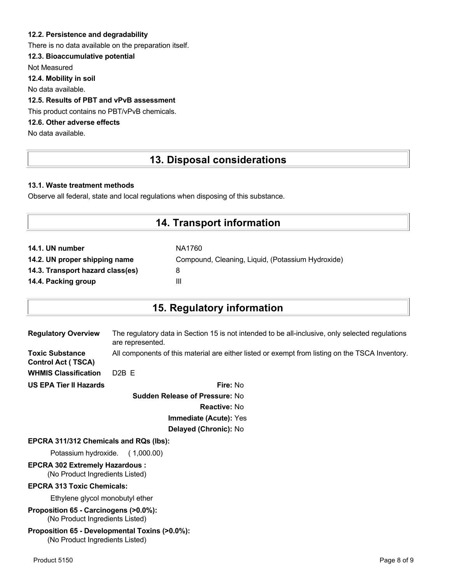### **12.2. Persistence and degradability**

There is no data available on the preparation itself.

### **12.3. Bioaccumulative potential**

Not Measured

**12.4. Mobility in soil**

No data available.

### **12.5. Results of PBT and vPvB assessment**

This product contains no PBT/vPvB chemicals.

# **12.6. Other adverse effects**

No data available.

# **13. Disposal considerations**

#### **13.1. Waste treatment methods**

Observe all federal, state and local regulations when disposing of this substance.

# **14. Transport information**

| 14.1. UN number                  | NA1760                                            |
|----------------------------------|---------------------------------------------------|
| 14.2. UN proper shipping name    | Compound, Cleaning, Liquid, (Potassium Hydroxide) |
| 14.3. Transport hazard class(es) | 8                                                 |
| 14.4. Packing group              | Ш                                                 |

# **15. Regulatory information**

| <b>Regulatory Overview</b>                          | The regulatory data in Section 15 is not intended to be all-inclusive, only selected regulations<br>are represented. |
|-----------------------------------------------------|----------------------------------------------------------------------------------------------------------------------|
| <b>Toxic Substance</b><br><b>Control Act (TSCA)</b> | All components of this material are either listed or exempt from listing on the TSCA Inventory.                      |
| <b>WHMIS Classification</b>                         | $D2B$ F                                                                                                              |
| <b>US EPA Tier II Hazards</b>                       | <b>Fire: No</b>                                                                                                      |
|                                                     | Cudden Delegge of Dreagurer No.                                                                                      |

**Sudden Release of Pressure:** No **Reactive:** No **Immediate (Acute):** Yes **Delayed (Chronic):** No

#### **EPCRA 311/312 Chemicals and RQs (lbs):**

Potassium hydroxide. ( 1,000.00)

# **EPCRA 302 Extremely Hazardous :**

(No Product Ingredients Listed)

### **EPCRA 313 Toxic Chemicals:**

Ethylene glycol monobutyl ether

**Proposition 65 - Carcinogens (>0.0%):** (No Product Ingredients Listed)

#### **Proposition 65 - Developmental Toxins (>0.0%):** (No Product Ingredients Listed)